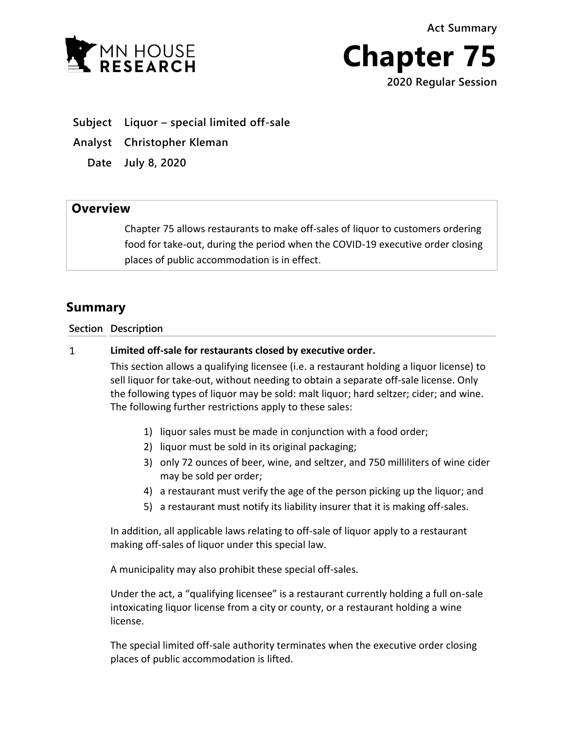**Act Summary**





- **Subject Liquor – special limited off-sale**
- **Analyst Christopher Kleman**
	- **Date July 8, 2020**

## **Overview**

Chapter 75 allows restaurants to make off-sales of liquor to customers ordering food for take-out, during the period when the COVID-19 executive order closing places of public accommodation is in effect.

## **Summary**

## **Section Description**

## $\mathbf{1}$ **Limited off-sale for restaurants closed by executive order.**

This section allows a qualifying licensee (i.e. a restaurant holding a liquor license) to sell liquor for take-out, without needing to obtain a separate off-sale license. Only the following types of liquor may be sold: malt liquor; hard seltzer; cider; and wine. The following further restrictions apply to these sales:

- 1) liquor sales must be made in conjunction with a food order;
- 2) liquor must be sold in its original packaging;
- 3) only 72 ounces of beer, wine, and seltzer, and 750 milliliters of wine cider may be sold per order;
- 4) a restaurant must verify the age of the person picking up the liquor; and
- 5) a restaurant must notify its liability insurer that it is making off-sales.

In addition, all applicable laws relating to off-sale of liquor apply to a restaurant making off-sales of liquor under this special law.

A municipality may also prohibit these special off-sales.

Under the act, a "qualifying licensee" is a restaurant currently holding a full on-sale intoxicating liquor license from a city or county, or a restaurant holding a wine license.

The special limited off-sale authority terminates when the executive order closing places of public accommodation is lifted.